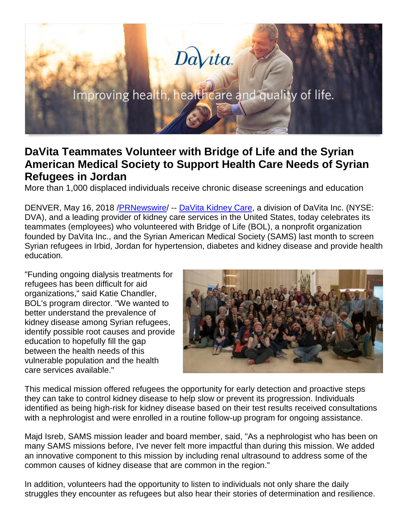# Davita.

# **DaVita Teammates Volunteer with Bridge of Life and the Syrian American Medical Society to Support Health Care Needs of Syrian Refugees in Jordan**

More than 1,000 displaced individuals receive chronic disease screenings and education

DENVER, May 16, 2018 /**PRNewswire/ -- DaVita Kidney Care**, a division of DaVita Inc. (NYSE: DVA), and a leading provider of kidney care services in the United States, today celebrates its teammates (employees) who volunteered with Bridge of Life (BOL), a nonprofit organization founded by DaVita Inc., and the Syrian American Medical Society (SAMS) last month to screen Syrian refugees in Irbid, Jordan for hypertension, diabetes and kidney disease and provide health education.

"Funding ongoing dialysis treatments for refugees has been difficult for aid organizations," said Katie Chandler, BOL's program director. "We wanted to better understand the prevalence of kidney disease among Syrian refugees, identify possible root causes and provide education to hopefully fill the gap between the health needs of this vulnerable population and the health care services available."



This medical mission offered refugees the opportunity for early detection and proactive steps they can take to control kidney disease to help slow or prevent its progression. Individuals identified as being high-risk for kidney disease based on their test results received consultations with a nephrologist and were enrolled in a routine follow-up program for ongoing assistance.

Majd Isreb, SAMS mission leader and board member, said, "As a nephrologist who has been on many SAMS missions before, I've never felt more impactful than during this mission. We added an innovative component to this mission by including renal ultrasound to address some of the common causes of kidney disease that are common in the region."

In addition, volunteers had the opportunity to listen to individuals not only share the daily struggles they encounter as refugees but also hear their stories of determination and resilience.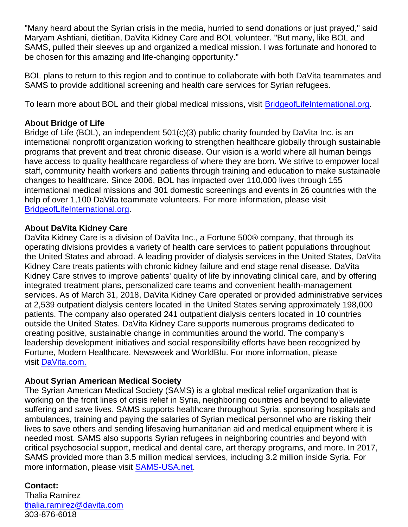"Many heard about the Syrian crisis in the media, hurried to send donations or just prayed," said Maryam Ashtiani, dietitian, DaVita Kidney Care and BOL volunteer. "But many, like BOL and SAMS, pulled their sleeves up and organized a medical mission. I was fortunate and honored to be chosen for this amazing and life-changing opportunity."

BOL plans to return to this region and to continue to collaborate with both DaVita teammates and SAMS to provide additional screening and health care services for Syrian refugees.

To learn more about BOL and their global medical missions, visit [BridgeofLifeInternational.org.](https://www.bridgeoflifeinternational.org/)

# **About Bridge of Life**

Bridge of Life (BOL), an independent 501(c)(3) public charity founded by DaVita Inc. is an international nonprofit organization working to strengthen healthcare globally through sustainable programs that prevent and treat chronic disease. Our vision is a world where all human beings have access to quality healthcare regardless of where they are born. We strive to empower local staff, community health workers and patients through training and education to make sustainable changes to healthcare. Since 2006, BOL has impacted over 110,000 lives through 155 international medical missions and 301 domestic screenings and events in 26 countries with the help of over 1,100 DaVita teammate volunteers. For more information, please visit [BridgeofLifeInternational.org.](http://www.bridgeoflifeinternational.org/)

### **About DaVita Kidney Care**

DaVita Kidney Care is a division of DaVita Inc., a Fortune 500® company, that through its operating divisions provides a variety of health care services to patient populations throughout the United States and abroad. A leading provider of dialysis services in the United States, DaVita Kidney Care treats patients with chronic kidney failure and end stage renal disease. DaVita Kidney Care strives to improve patients' quality of life by innovating clinical care, and by offering integrated treatment plans, personalized care teams and convenient health-management services. As of March 31, 2018, DaVita Kidney Care operated or provided administrative services at 2,539 outpatient dialysis centers located in the United States serving approximately 198,000 patients. The company also operated 241 outpatient dialysis centers located in 10 countries outside the United States. DaVita Kidney Care supports numerous programs dedicated to creating positive, sustainable change in communities around the world. The company's leadership development initiatives and social responsibility efforts have been recognized by Fortune, Modern Healthcare, Newsweek and WorldBlu. For more information, please visit [DaVita.com.](https://www.davita.com/)

### **About Syrian American Medical Society**

The Syrian American Medical Society (SAMS) is a global medical relief organization that is working on the front lines of crisis relief in Syria, neighboring countries and beyond to alleviate suffering and save lives. SAMS supports healthcare throughout Syria, sponsoring hospitals and ambulances, training and paying the salaries of Syrian medical personnel who are risking their lives to save others and sending lifesaving humanitarian aid and medical equipment where it is needed most. SAMS also supports Syrian refugees in neighboring countries and beyond with critical psychosocial support, medical and dental care, art therapy programs, and more. In 2017, SAMS provided more than 3.5 million medical services, including 3.2 million inside Syria. For more information, please visit [SAMS-USA.net.](https://www.sams-usa.net/)

# **Contact:**

Thalia Ramirez [thalia.ramirez@davita.com](mailto:thalia.ramirez@davita.com) 303-876-6018